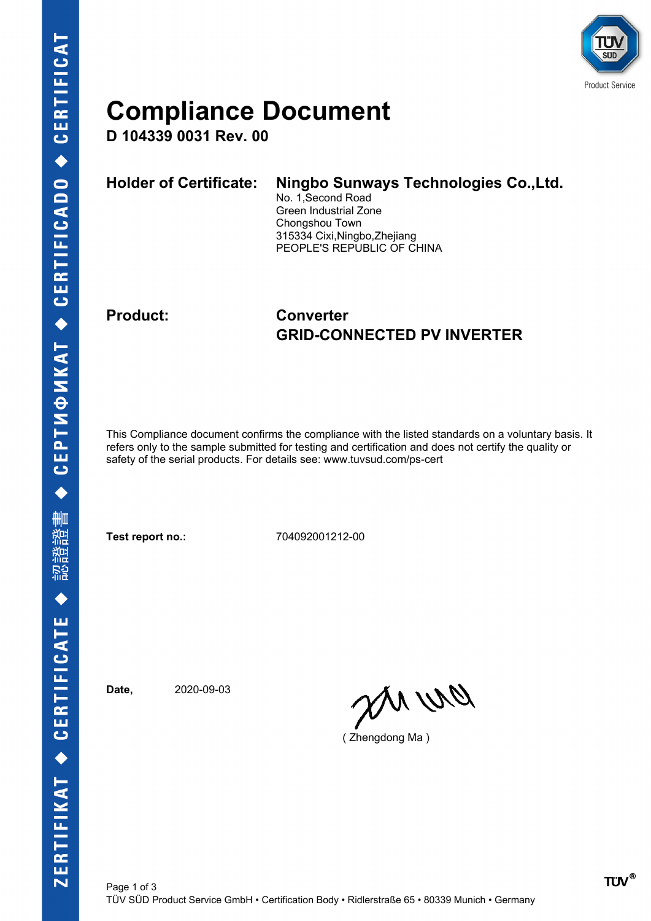

### **Compliance Document**

**D 104339 0031 Rev. 00**

| <b>Holder of Certificate:</b> | Ningbo Sunways Technologies Co., Ltd.<br>No. 1, Second Road<br>Green Industrial Zone<br>Chongshou Town<br>315334 Cixi, Ningbo, Zhejiang |
|-------------------------------|-----------------------------------------------------------------------------------------------------------------------------------------|
|                               | PEOPLE'S REPUBLIC OF CHINA                                                                                                              |

### **Product: Converter GRID-CONNECTED PV INVERTER**

This Compliance document confirms the compliance with the listed standards on a voluntary basis. It refers only to the sample submitted for testing and certification and does not certify the quality or safety of the serial products. For details see: www.tuvsud.com/ps-cert

**Test report no.:** 704092001212-00

**Date,** 2020-09-03

an wa

( Zhengdong Ma )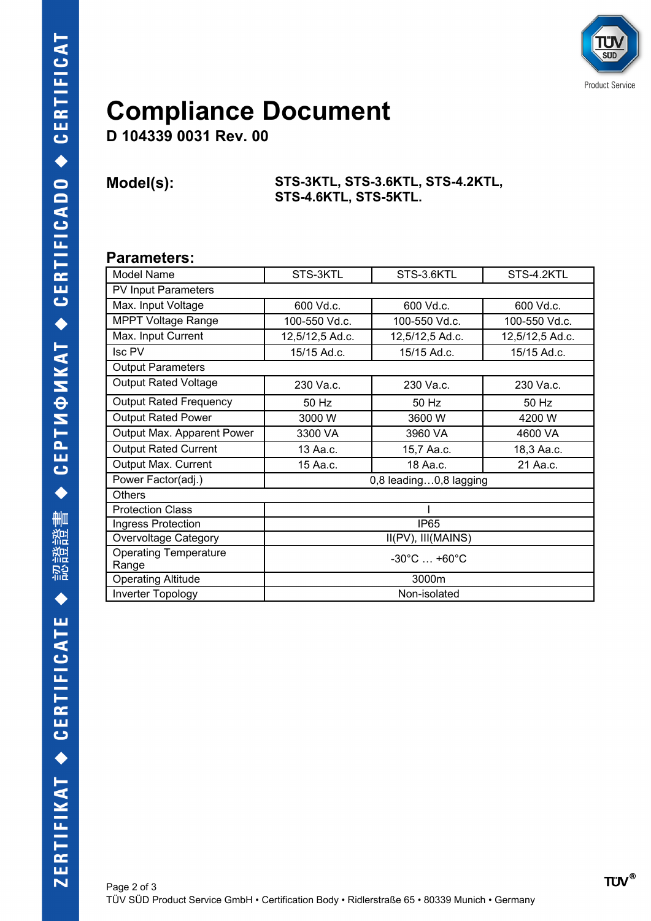

## **Compliance Document**

**D 104339 0031 Rev. 00**

#### **Model(s): STS-3KTL, STS-3.6KTL, STS-4.2KTL, STS-4.6KTL, STS-5KTL.**

#### **Parameters:**

| Model Name                            | STS-3KTL                        | STS-3.6KTL      | STS-4.2KTL      |  |
|---------------------------------------|---------------------------------|-----------------|-----------------|--|
| <b>PV Input Parameters</b>            |                                 |                 |                 |  |
| Max. Input Voltage                    | 600 Vd.c.                       | 600 Vd.c.       | 600 Vd.c.       |  |
| <b>MPPT Voltage Range</b>             | 100-550 Vd.c.                   | 100-550 Vd.c.   | 100-550 Vd.c.   |  |
| Max. Input Current                    | 12,5/12,5 Ad.c.                 | 12,5/12,5 Ad.c. | 12,5/12,5 Ad.c. |  |
| Isc PV                                | 15/15 Ad.c.                     | 15/15 Ad.c.     | 15/15 Ad.c.     |  |
| <b>Output Parameters</b>              |                                 |                 |                 |  |
| <b>Output Rated Voltage</b>           | 230 Va.c.                       | 230 Va.c.       | 230 Va.c.       |  |
| <b>Output Rated Frequency</b>         | 50 Hz                           | 50 Hz           | 50 Hz           |  |
| <b>Output Rated Power</b>             | 3000 W                          | 3600 W          | 4200 W          |  |
| Output Max. Apparent Power            | 3300 VA                         | 3960 VA         | 4600 VA         |  |
| <b>Output Rated Current</b>           | 13 Aa.c.                        | 15,7 Aa.c.      | 18,3 Aa.c.      |  |
| Output Max. Current                   | 15 Aa.c.                        | 18 Aa.c.        | 21 Aa.c.        |  |
| Power Factor(adj.)                    | 0,8 leading0,8 lagging          |                 |                 |  |
| <b>Others</b>                         |                                 |                 |                 |  |
| <b>Protection Class</b>               |                                 |                 |                 |  |
| Ingress Protection                    | IP <sub>65</sub>                |                 |                 |  |
| <b>Overvoltage Category</b>           | II(PV), III(MAINS)              |                 |                 |  |
| <b>Operating Temperature</b><br>Range | $-30^{\circ}$ C $+60^{\circ}$ C |                 |                 |  |
| <b>Operating Altitude</b>             | 3000m                           |                 |                 |  |
| Inverter Topology                     | Non-isolated                    |                 |                 |  |